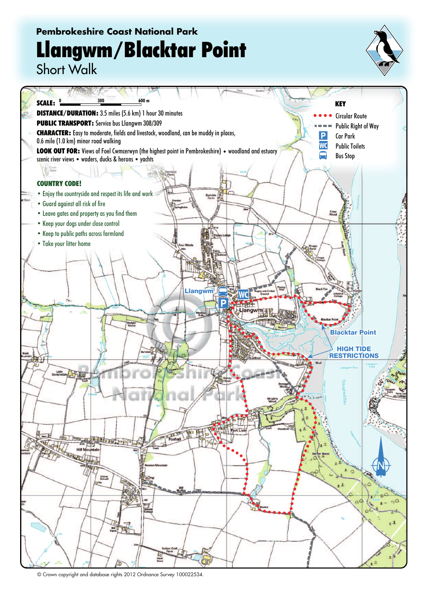## **Pembrokeshire Coast National Park Llangwm/Blacktar Point**



Short Walk



<sup>©</sup> Crown copyright and database rights 2012 Ordnance Survey 100022534.